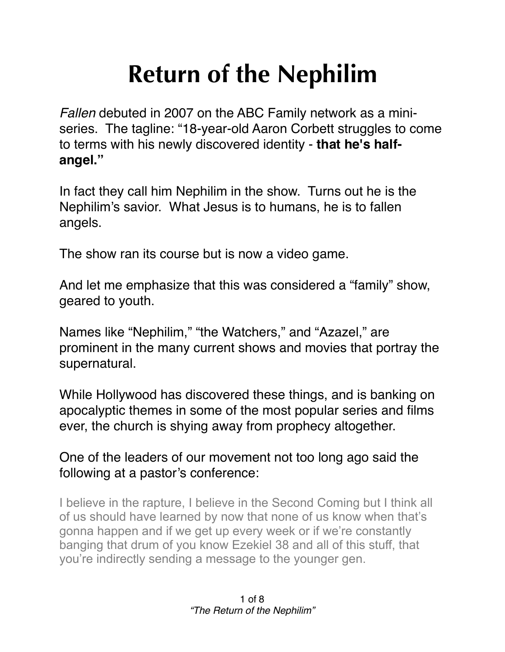# **Return of the Nephilim**

*Fallen* debuted in 2007 on the ABC Family network as a miniseries. The tagline: "18-year-old Aaron Corbett struggles to come to terms with his newly discovered identity - **that he's halfangel."**

In fact they call him Nephilim in the show. Turns out he is the Nephilim's savior. What Jesus is to humans, he is to fallen angels.

The show ran its course but is now a video game.

And let me emphasize that this was considered a "family" show, geared to youth.

Names like "Nephilim," "the Watchers," and "Azazel," are prominent in the many current shows and movies that portray the supernatural.

While Hollywood has discovered these things, and is banking on apocalyptic themes in some of the most popular series and films ever, the church is shying away from prophecy altogether.

One of the leaders of our movement not too long ago said the following at a pastor's conference:

I believe in the rapture, I believe in the Second Coming but I think all of us should have learned by now that none of us know when that's gonna happen and if we get up every week or if we're constantly banging that drum of you know Ezekiel 38 and all of this stuff, that you're indirectly sending a message to the younger gen.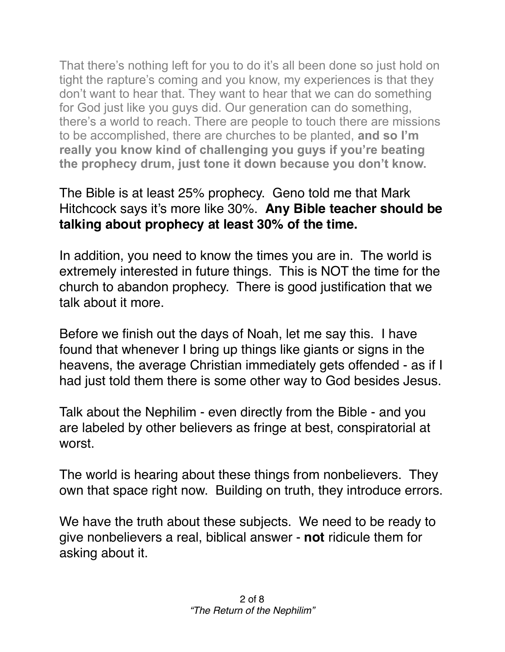That there's nothing left for you to do it's all been done so just hold on tight the rapture's coming and you know, my experiences is that they don't want to hear that. They want to hear that we can do something for God just like you guys did. Our generation can do something, there's a world to reach. There are people to touch there are missions to be accomplished, there are churches to be planted, **and so I'm really you know kind of challenging you guys if you're beating the prophecy drum, just tone it down because you don't know.**

## The Bible is at least 25% prophecy. Geno told me that Mark Hitchcock says it's more like 30%. **Any Bible teacher should be talking about prophecy at least 30% of the time.**

In addition, you need to know the times you are in. The world is extremely interested in future things. This is NOT the time for the church to abandon prophecy. There is good justification that we talk about it more.

Before we finish out the days of Noah, let me say this. I have found that whenever I bring up things like giants or signs in the heavens, the average Christian immediately gets offended - as if I had just told them there is some other way to God besides Jesus.

Talk about the Nephilim - even directly from the Bible - and you are labeled by other believers as fringe at best, conspiratorial at worst.

The world is hearing about these things from nonbelievers. They own that space right now. Building on truth, they introduce errors.

We have the truth about these subjects. We need to be ready to give nonbelievers a real, biblical answer - **not** ridicule them for asking about it.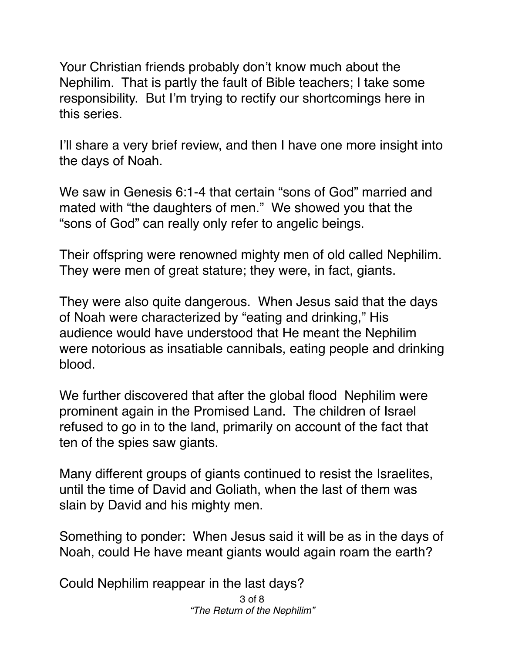Your Christian friends probably don't know much about the Nephilim. That is partly the fault of Bible teachers; I take some responsibility. But I'm trying to rectify our shortcomings here in this series.

I'll share a very brief review, and then I have one more insight into the days of Noah.

We saw in Genesis 6:1-4 that certain "sons of God" married and mated with "the daughters of men." We showed you that the "sons of God" can really only refer to angelic beings.

Their offspring were renowned mighty men of old called Nephilim. They were men of great stature; they were, in fact, giants.

They were also quite dangerous. When Jesus said that the days of Noah were characterized by "eating and drinking," His audience would have understood that He meant the Nephilim were notorious as insatiable cannibals, eating people and drinking blood.

We further discovered that after the global flood Nephilim were prominent again in the Promised Land. The children of Israel refused to go in to the land, primarily on account of the fact that ten of the spies saw giants.

Many different groups of giants continued to resist the Israelites, until the time of David and Goliath, when the last of them was slain by David and his mighty men.

Something to ponder: When Jesus said it will be as in the days of Noah, could He have meant giants would again roam the earth?

Could Nephilim reappear in the last days?

3 of 8 *"The Return of the Nephilim"*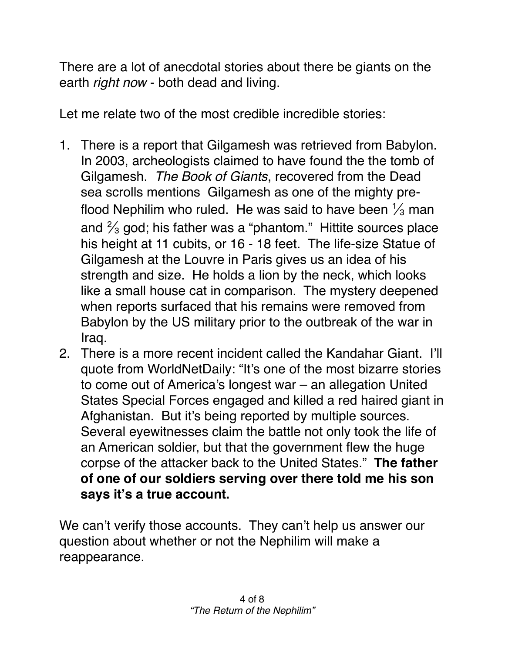There are a lot of anecdotal stories about there be giants on the earth *right now* - both dead and living.

Let me relate two of the most credible incredible stories:

- 1. There is a report that Gilgamesh was retrieved from Babylon. In 2003, archeologists claimed to have found the the tomb of Gilgamesh. *The Book of Giants*, recovered from the Dead sea scrolls mentions Gilgamesh as one of the mighty preflood Nephilim who ruled. He was said to have been  $\frac{1}{3}$  man and  $\frac{2}{3}$  god; his father was a "phantom." Hittite sources place his height at 11 cubits, or 16 - 18 feet. The life-size Statue of Gilgamesh at the Louvre in Paris gives us an idea of his strength and size. He holds a lion by the neck, which looks like a small house cat in comparison. The mystery deepened when reports surfaced that his remains were removed from Babylon by the US military prior to the outbreak of the war in Iraq.
- 2. There is a more recent incident called the Kandahar Giant. I'll quote from WorldNetDaily: "It's one of the most bizarre stories to come out of America's longest war – an allegation United States Special Forces engaged and killed a red haired giant in Afghanistan. But it's being reported by multiple sources. Several eyewitnesses claim the battle not only took the life of an American soldier, but that the government flew the huge corpse of the attacker back to the United States." **The father of one of our soldiers serving over there told me his son says it's a true account.**

We can't verify those accounts. They can't help us answer our question about whether or not the Nephilim will make a reappearance.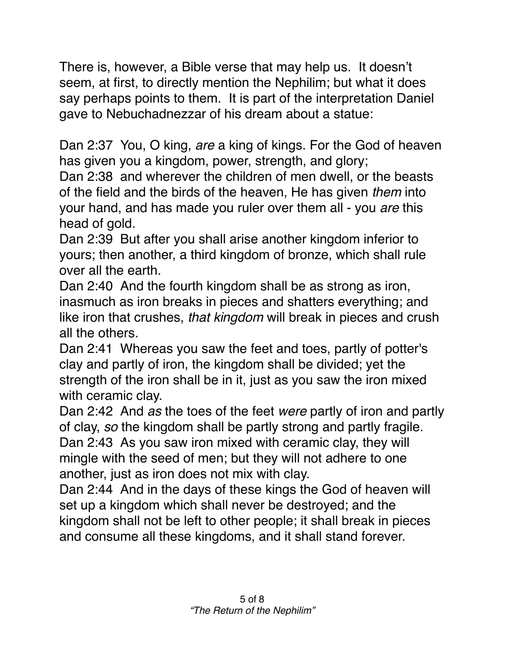There is, however, a Bible verse that may help us. It doesn't seem, at first, to directly mention the Nephilim; but what it does say perhaps points to them. It is part of the interpretation Daniel gave to Nebuchadnezzar of his dream about a statue:

Dan 2:37 You, O king, *are* a king of kings. For the God of heaven has given you a kingdom, power, strength, and glory;

Dan 2:38 and wherever the children of men dwell, or the beasts of the field and the birds of the heaven, He has given *them* into your hand, and has made you ruler over them all - you *are* this head of gold.

Dan 2:39 But after you shall arise another kingdom inferior to yours; then another, a third kingdom of bronze, which shall rule over all the earth.

Dan 2:40 And the fourth kingdom shall be as strong as iron, inasmuch as iron breaks in pieces and shatters everything; and like iron that crushes, *that kingdom* will break in pieces and crush all the others.

Dan 2:41 Whereas you saw the feet and toes, partly of potter's clay and partly of iron, the kingdom shall be divided; yet the strength of the iron shall be in it, just as you saw the iron mixed with ceramic clay.

Dan 2:42 And *as* the toes of the feet *were* partly of iron and partly of clay, *so* the kingdom shall be partly strong and partly fragile. Dan 2:43 As you saw iron mixed with ceramic clay, they will mingle with the seed of men; but they will not adhere to one another, just as iron does not mix with clay.

Dan 2:44 And in the days of these kings the God of heaven will set up a kingdom which shall never be destroyed; and the kingdom shall not be left to other people; it shall break in pieces and consume all these kingdoms, and it shall stand forever.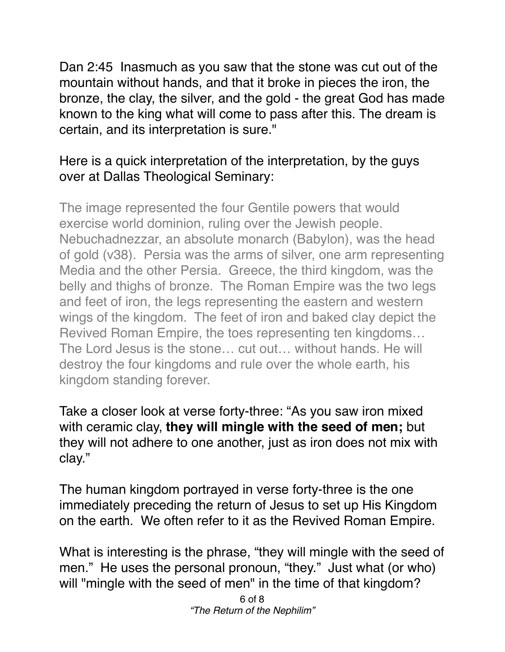Dan 2:45 Inasmuch as you saw that the stone was cut out of the mountain without hands, and that it broke in pieces the iron, the bronze, the clay, the silver, and the gold - the great God has made known to the king what will come to pass after this. The dream is certain, and its interpretation is sure."

## Here is a quick interpretation of the interpretation, by the guys over at Dallas Theological Seminary:

The image represented the four Gentile powers that would exercise world dominion, ruling over the Jewish people. Nebuchadnezzar, an absolute monarch (Babylon), was the head of gold (v38). Persia was the arms of silver, one arm representing Media and the other Persia. Greece, the third kingdom, was the belly and thighs of bronze. The Roman Empire was the two legs and feet of iron, the legs representing the eastern and western wings of the kingdom. The feet of iron and baked clay depict the Revived Roman Empire, the toes representing ten kingdoms… The Lord Jesus is the stone… cut out… without hands. He will destroy the four kingdoms and rule over the whole earth, his kingdom standing forever.

Take a closer look at verse forty-three: "As you saw iron mixed with ceramic clay, **they will mingle with the seed of men;** but they will not adhere to one another, just as iron does not mix with clay."

The human kingdom portrayed in verse forty-three is the one immediately preceding the return of Jesus to set up His Kingdom on the earth. We often refer to it as the Revived Roman Empire.

What is interesting is the phrase, "they will mingle with the seed of men." He uses the personal pronoun, "they." Just what (or who) will "mingle with the seed of men" in the time of that kingdom?

> 6 of 8 *"The Return of the Nephilim"*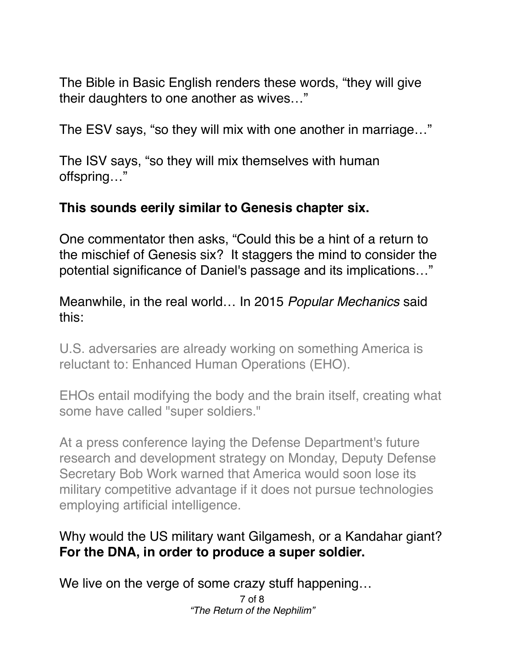The Bible in Basic English renders these words, "they will give their daughters to one another as wives…"

The ESV says, "so they will mix with one another in marriage…"

The ISV says, "so they will mix themselves with human offspring…"

### **This sounds eerily similar to Genesis chapter six.**

One commentator then asks, "Could this be a hint of a return to the mischief of Genesis six? It staggers the mind to consider the potential significance of Daniel's passage and its implications…"

Meanwhile, in the real world… In 2015 *Popular Mechanics* said this:

U.S. adversaries are already working on something America is reluctant to: Enhanced Human Operations (EHO).

EHOs entail modifying the body and the brain itself, creating what some have called "super soldiers."

At a press conference laying the Defense Department's future research and development strategy on Monday, Deputy Defense Secretary Bob Work warned that America would soon lose its military competitive advantage if it does not pursue technologies employing artificial intelligence.

### Why would the US military want Gilgamesh, or a Kandahar giant? **For the DNA, in order to produce a super soldier.**

We live on the verge of some crazy stuff happening…

7 of 8 *"The Return of the Nephilim"*